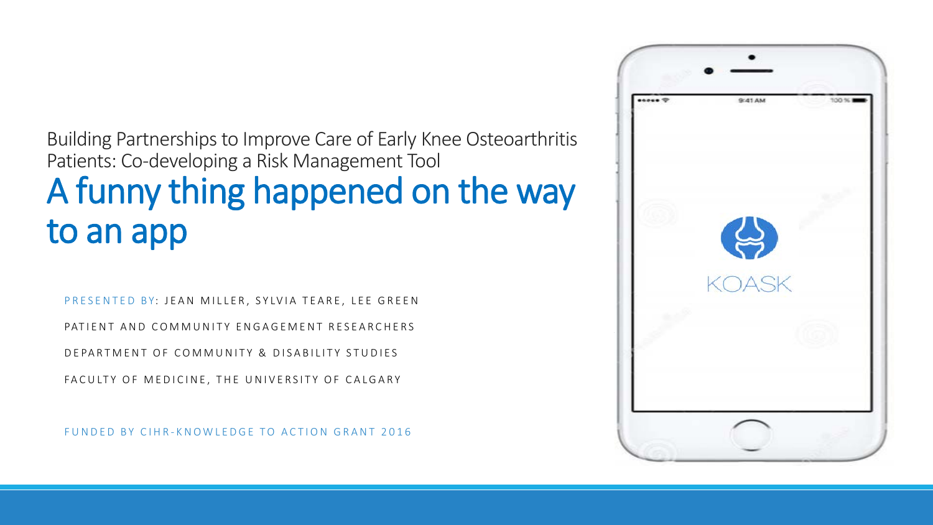### Building Partnerships to Improve Care of Early Knee Osteoarthritis Patients: Co-developing a Risk Management Tool A funny thing happened on the way to an app

PRESENTED BY: JEAN MILLER, SYLVIA TEARE, LEE GREEN

PATIENT AND COMMUNITY ENGAGEMENT RESEARCHERS

DEPARTMENT OF COMMUNITY & DISABILITY STUDIES

FACULTY OF MEDICINE, THE UNIVERSITY OF CALGARY

FUNDED BY CIHR - KNOWLEDGE TO ACTION GRANT 2016

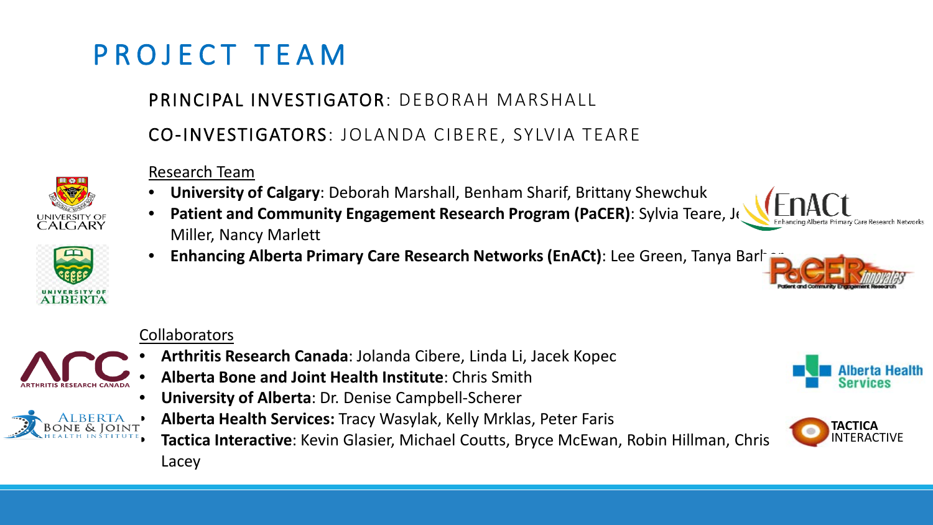### PROJECT TEAM

### PRINCIPAL INVESTIGATOR: DEBORAH MARSHALL

CO-INVESTIGATORS: JOLANDA CIBERE, SYLVIA TEARE

#### Research Team

- **University of Calgary**: Deborah Marshall, Benham Sharif, Brittany Shewchuk
- **Patient and Community Engagement Research Program (PaCER): Sylvia Teare, Journal** Miller, Nancy Marlett
- **Enhancing Alberta Primary Care Research Networks (EnACt)**: Lee Green, Tanya Barhar

### **Collaborators**

- **Arthritis Research Canada**: Jolanda Cibere, Linda Li, Jacek Kopec
- **Alberta Bone and Joint Health Institute**: Chris Smith
- **University of Alberta**: Dr. Denise Campbell-Scherer
- **Alberta Health Services:** Tracy Wasylak, Kelly Mrklas, Peter Faris

• **Tactica Interactive**: Kevin Glasier, Michael Coutts, Bryce McEwan, Robin Hillman, Chris Lacey









**ALBERTA** 

UNIVERSITY O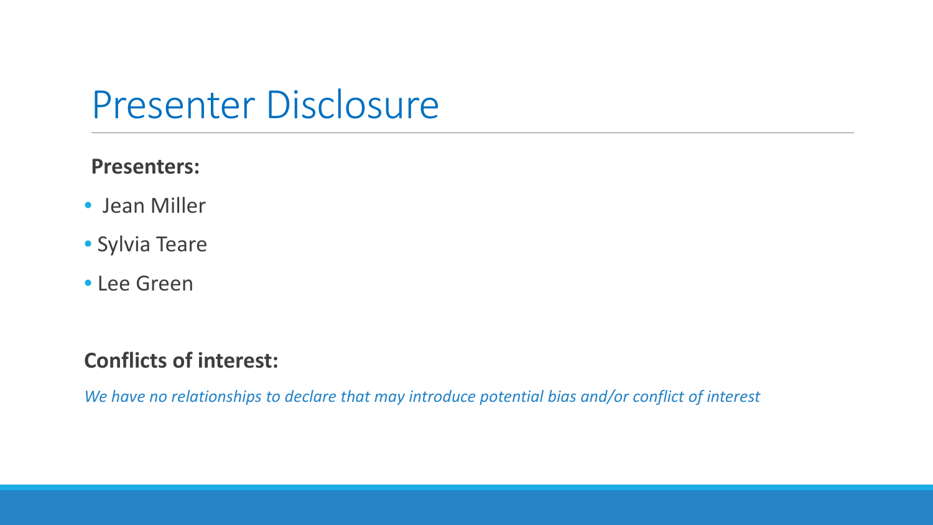## Presenter Disclosure

### **Presenters:**

- •Jean Miller
- Sylvia Teare
- Lee Green

### **Conflicts of interest:**

*We have no relationships to declare that may introduce potential bias and/or conflict of interest*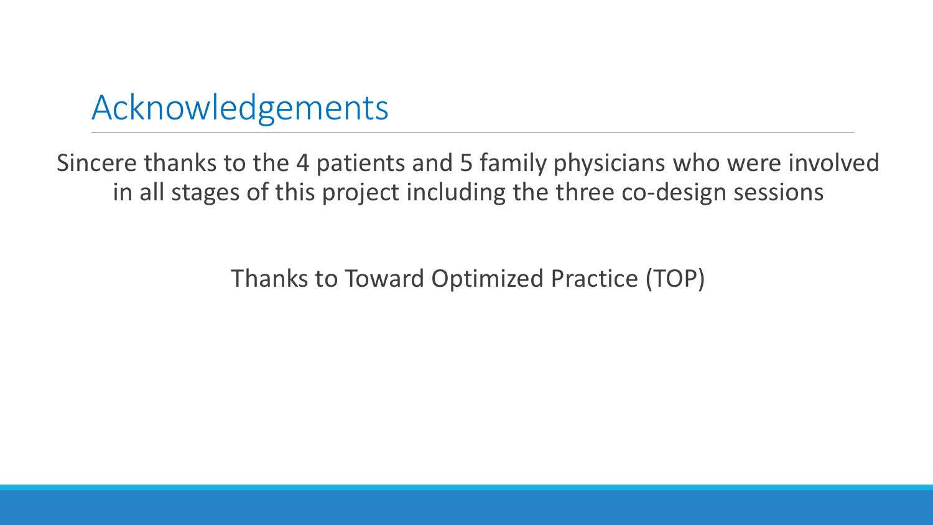### Acknowledgements

Sincere thanks to the 4 patients and 5 family physicians who were involved in all stages of this project including the three co-design sessions

Thanks to Toward Optimized Practice (TOP)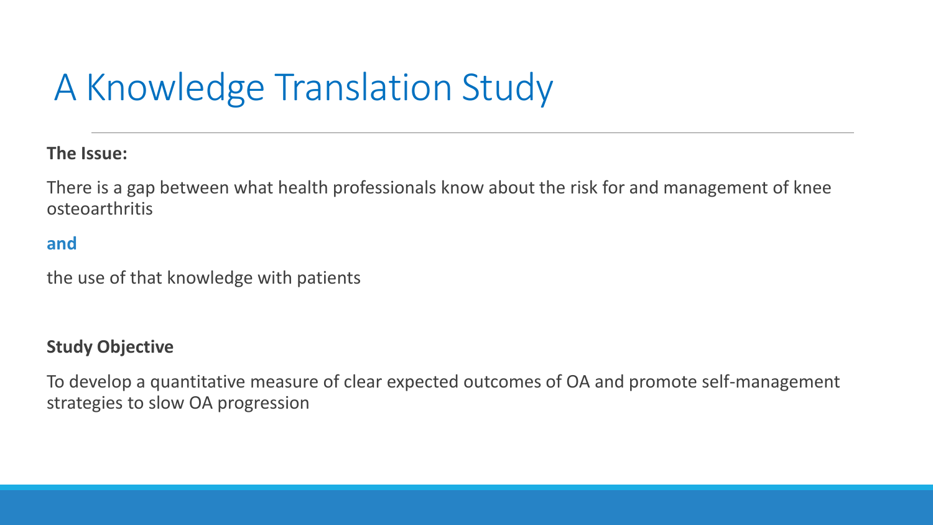# A Knowledge Translation Study

**The Issue:**

There is a gap between what health professionals know about the risk for and management of knee osteoarthritis

### **and**

the use of that knowledge with patients

#### **Study Objective**

To develop a quantitative measure of clear expected outcomes of OA and promote self-management strategies to slow OA progression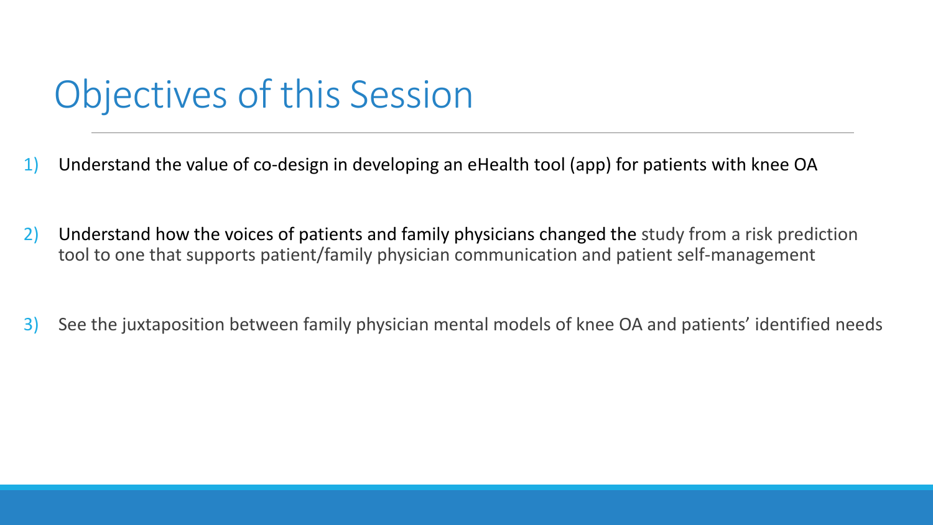# Objectives of this Session

- 1) Understand the value of co-design in developing an eHealth tool (app) for patients with knee OA
- 2) Understand how the voices of patients and family physicians changed the study from a risk prediction tool to one that supports patient/family physician communication and patient self-management
- 3) See the juxtaposition between family physician mental models of knee OA and patients' identified needs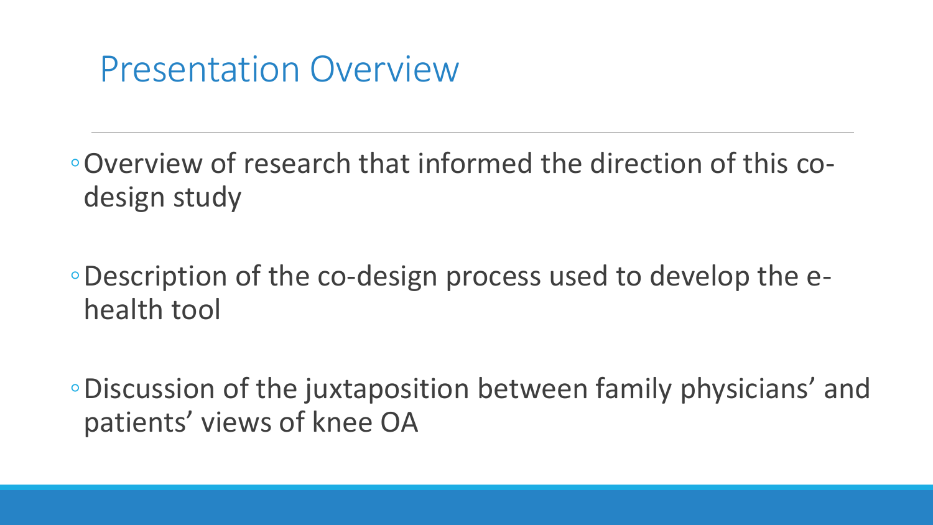## Presentation Overview

◦Overview of research that informed the direction of this codesign study

- ◦Description of the co-design process used to develop the ehealth tool
- ◦Discussion of the juxtaposition between family physicians' and patients' views of knee OA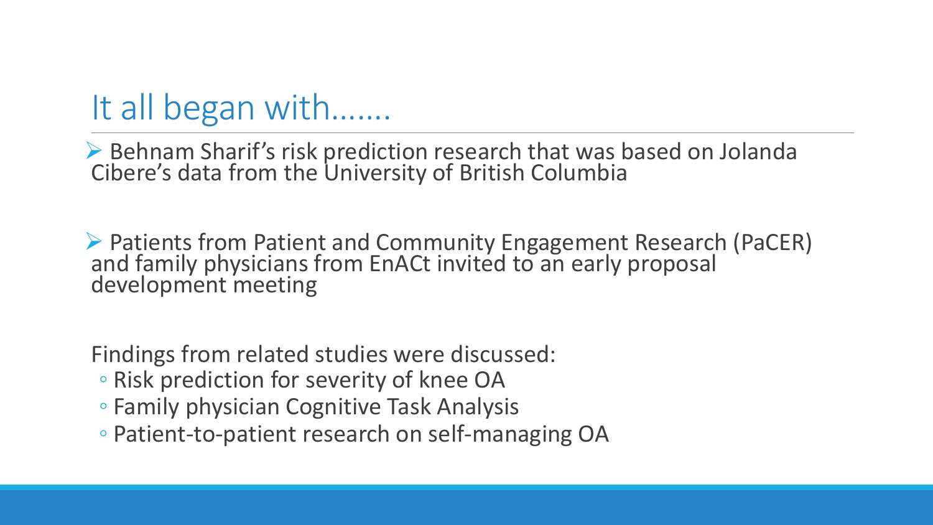## It all began with…….

▶ Behnam Sharif's risk prediction research that was based on Jolanda Cibere's data from the University of British Columbia

 Patients from Patient and Community Engagement Research (PaCER) and family physicians from EnACt invited to an early proposal development meeting

Findings from related studies were discussed:

- Risk prediction for severity of knee OA
- Family physician Cognitive Task Analysis
- Patient-to-patient research on self-managing OA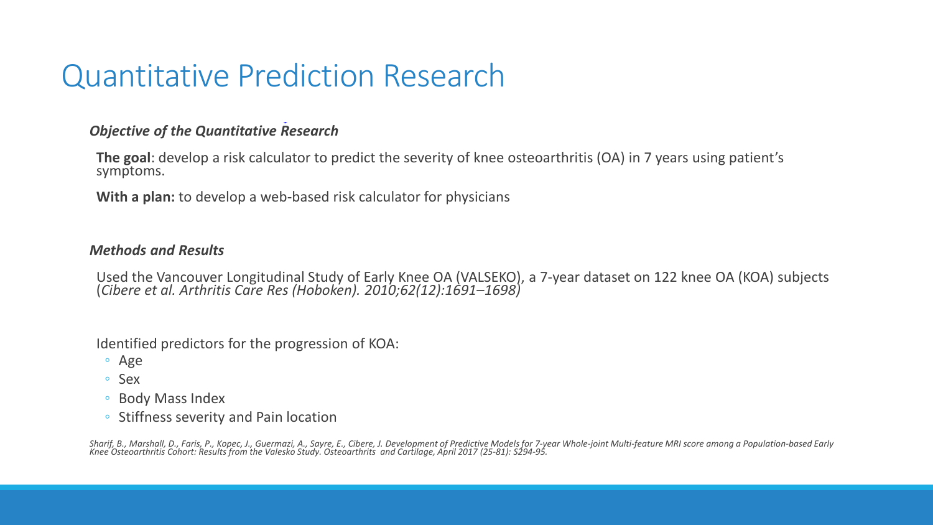### Quantitative Prediction Research

#### *Objective of the Quantitative Research*

**The goal**: develop a risk calculator to predict the severity of knee osteoarthritis (OA) in 7 years using patient's symptoms.

**With a plan:** to develop a web-based risk calculator for physicians

#### *Methods and Results*

Used the Vancouver Longitudinal Study of Early Knee OA (VALSEKO), a 7-year dataset on 122 knee OA (KOA) subjects (*Cibere et al. Arthritis Care Res (Hoboken). 2010;62(12):1691–1698)*

Identified predictors for the progression of KOA:

- Age
- Sex
- Body Mass Index
- Stiffness severity and Pain location

Sharif, B., Marshall, D., Faris, P., Kopec, J., Guermazi, A., Sayre, E., Cibere, J. Development of Predictive Models for 7-year Whole-joint Multi-feature MRI score among a Population-based Early<br>Knee Osteoarthritis Cohort: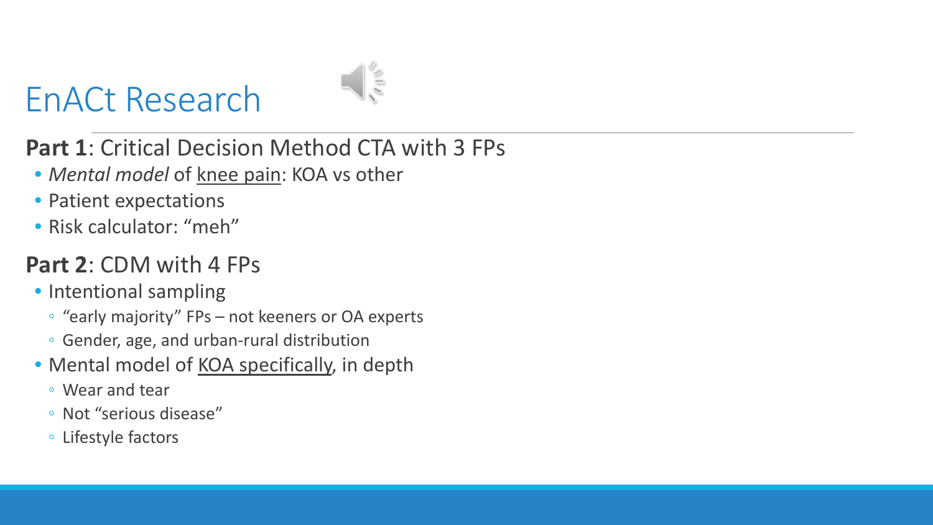# EnACt Research



### **Part 1**: Critical Decision Method CTA with 3 FPs

- *Mental model* of knee pain: KOA vs other
- Patient expectations
- Risk calculator: "meh"

### **Part 2**: CDM with 4 FPs

- Intentional sampling
	- "early majority" FPs not keeners or OA experts
	- Gender, age, and urban-rural distribution
- Mental model of **KOA** specifically, in depth
	- Wear and tear
	- Not "serious disease"
	- Lifestyle factors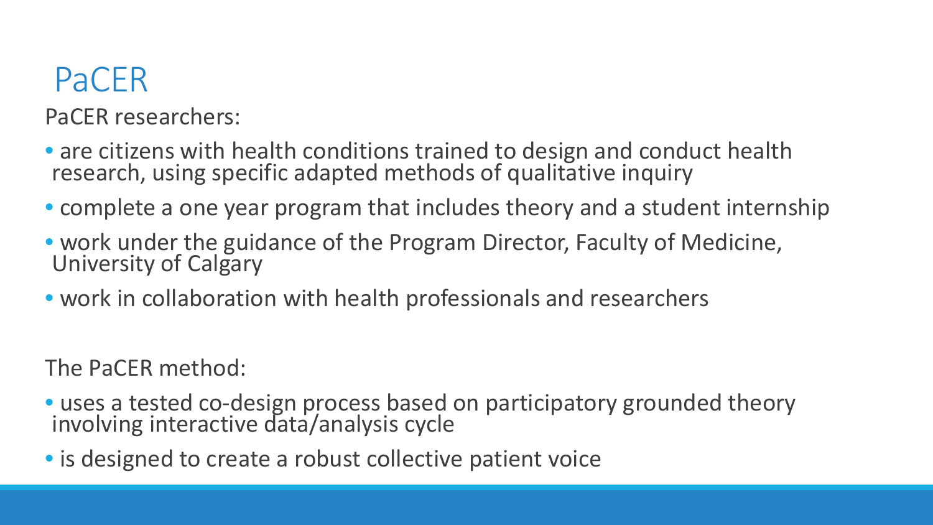## PaCER

PaCER researchers:

- are citizens with health conditions trained to design and conduct health research, using specific adapted methods of qualitative inquiry
- complete a one year program that includes theory and a student internship
- work under the guidance of the Program Director, Faculty of Medicine,<br>University of Calgary
- work in collaboration with health professionals and researchers

The PaCER method:

- uses a tested co-design process based on participatory grounded theory involving interactive data/analysis cycle
- is designed to create a robust collective patient voice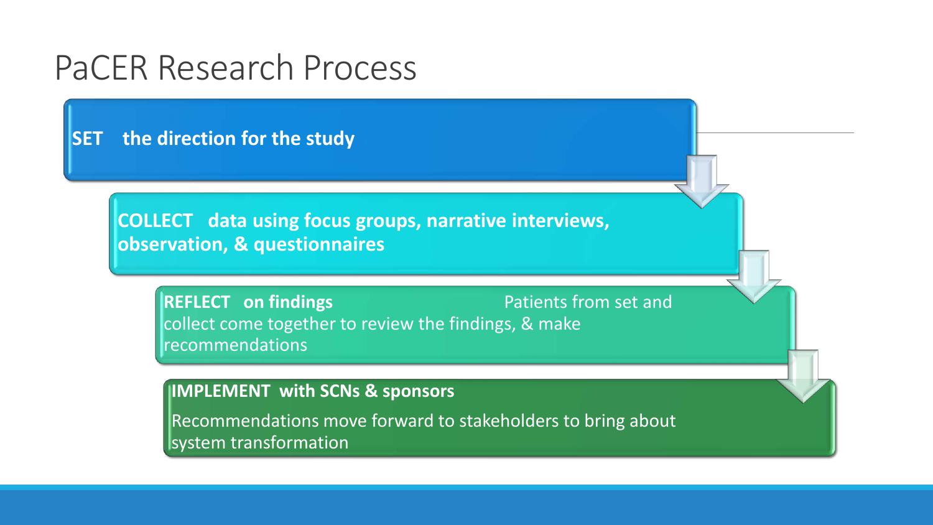### PaCER Research Process

**SET the direction for the study** 

**COLLECT data using focus groups, narrative interviews, observation, & questionnaires**

**REFLECT** on findings **Patients from set and** collect come together to review the findings, & make recommendations

**IMPLEMENT with SCNs & sponsors** 

Recommendations move forward to stakeholders to bring about system transformation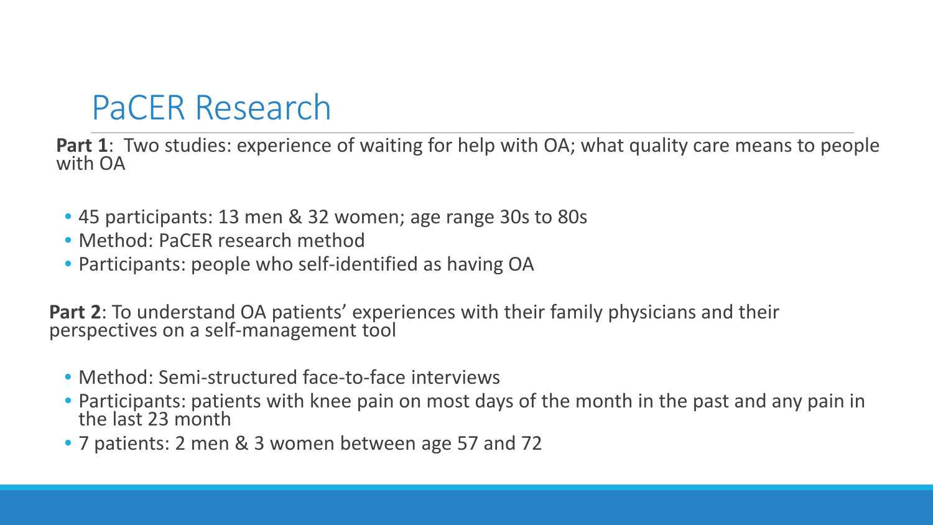## PaCER Research

**Part 1**: Two studies: experience of waiting for help with OA; what quality care means to people with OA

- 45 participants: 13 men & 32 women; age range 30s to 80s
- Method: PaCER research method
- Participants: people who self-identified as having OA

**Part 2**: To understand OA patients' experiences with their family physicians and their perspectives on a self-management tool

- Method: Semi-structured face-to-face interviews
- Participants: patients with knee pain on most days of the month in the past and any pain in the last 23 month
- 7 patients: 2 men & 3 women between age 57 and 72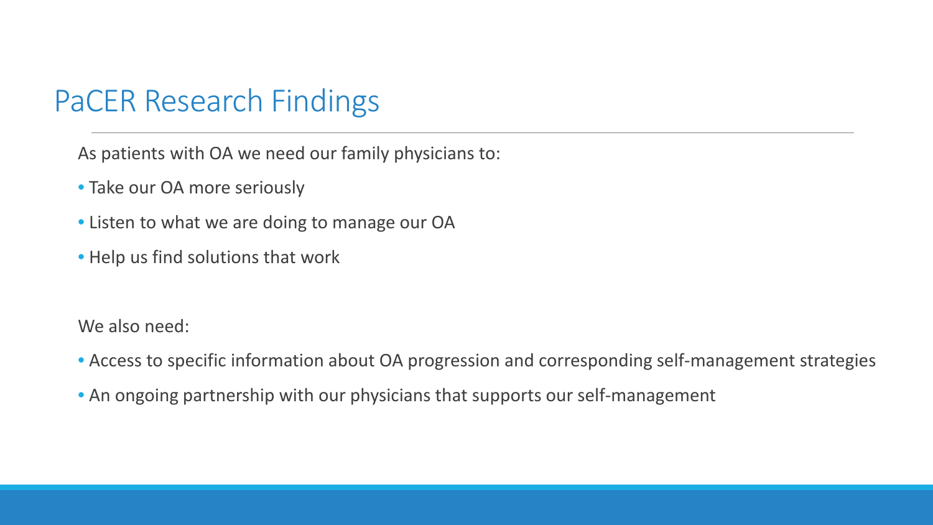### PaCER Research Findings

As patients with OA we need our family physicians to:

- Take our OA more seriously
- Listen to what we are doing to manage our OA
- Help us find solutions that work

We also need:

- Access to specific information about OA progression and corresponding self-management strategies
- An ongoing partnership with our physicians that supports our self-management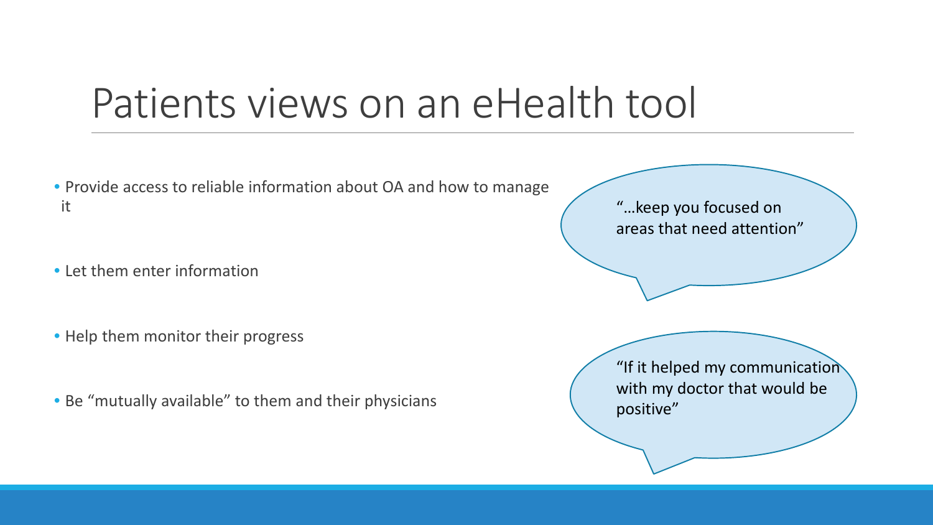# Patients views on an eHealth tool

- Provide access to reliable information about OA and how to manage it
- Let them enter information
- Help them monitor their progress
- Be "mutually available" to them and their physicians

"…keep you focused on areas that need attention"

"If it helped my communication with my doctor that would be positive"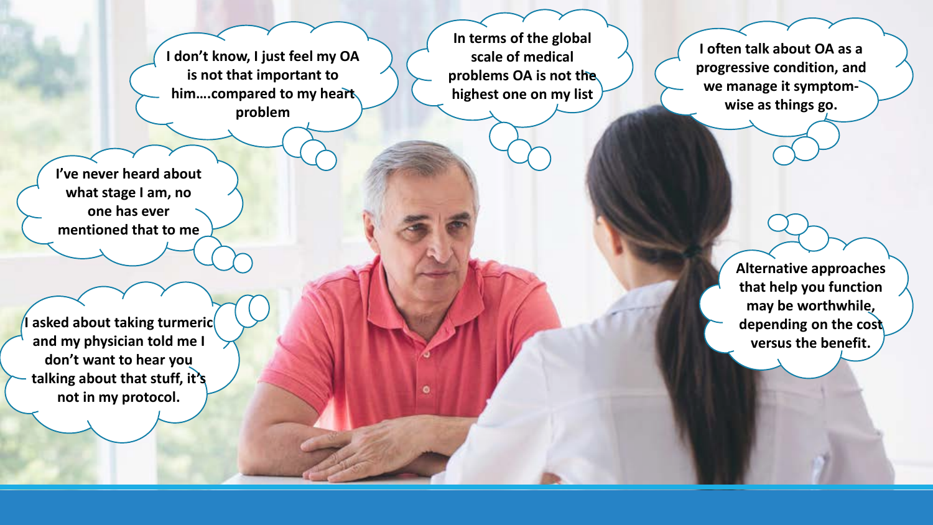**I don't know, I just feel my OA is not that important to him….compared to my heart problem** 

**I've never heard about what stage I am, no one has ever mentioned that to me**

**I** asked about taking turmeric **and my physician told me I don't want to hear you talking about that stuff, it's not in my protocol.**

**In terms of the global scale of medical problems OA is not the highest one on my list** 

**I often talk about OA as a progressive condition, and we manage it symptomwise as things go.**

> **Alternative approaches that help you function may be worthwhile, depending on the cost versus the benefit.**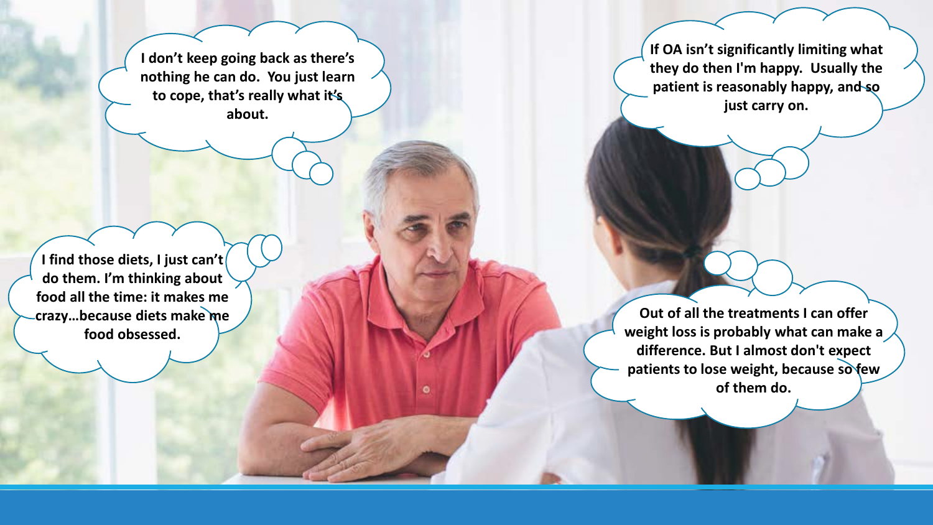**I don't keep going back as there's nothing he can do. You just learn to cope, that's really what it's about.**

**If OA isn't significantly limiting what they do then I'm happy. Usually the patient is reasonably happy, and so just carry on.**

**I find those diets, I just can't do them. I'm thinking about food all the time: it makes me crazy…because diets make me food obsessed.** 

**Out of all the treatments I can offer weight loss is probably what can make a difference. But I almost don't expect patients to lose weight, because so few of them do.**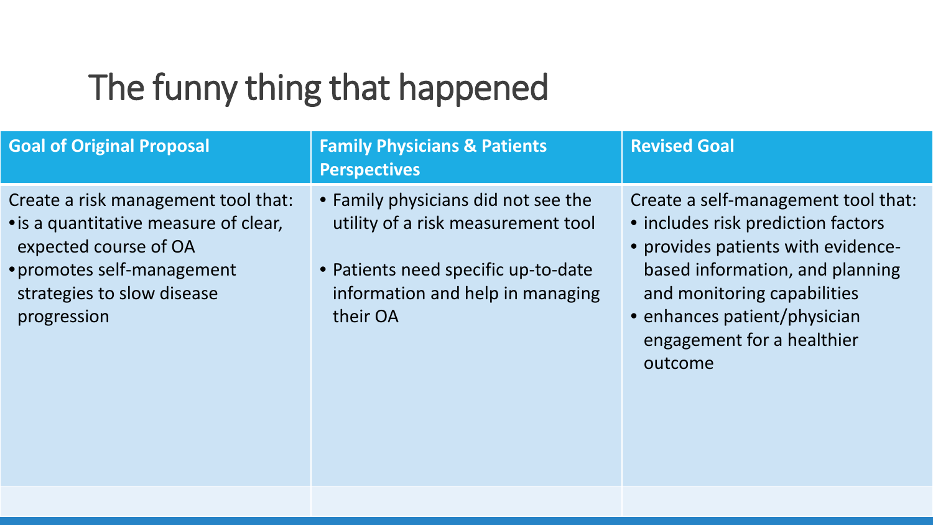## The funny thing that happened

| <b>Goal of Original Proposal</b>                                                                                                                                                 | <b>Family Physicians &amp; Patients</b><br><b>Perspectives</b>                                                                                                   | <b>Revised Goal</b>                                                                                                                                                                                                                                        |
|----------------------------------------------------------------------------------------------------------------------------------------------------------------------------------|------------------------------------------------------------------------------------------------------------------------------------------------------------------|------------------------------------------------------------------------------------------------------------------------------------------------------------------------------------------------------------------------------------------------------------|
| Create a risk management tool that:<br>• is a quantitative measure of clear,<br>expected course of OA<br>• promotes self-management<br>strategies to slow disease<br>progression | • Family physicians did not see the<br>utility of a risk measurement tool<br>• Patients need specific up-to-date<br>information and help in managing<br>their OA | Create a self-management tool that:<br>· includes risk prediction factors<br>• provides patients with evidence-<br>based information, and planning<br>and monitoring capabilities<br>• enhances patient/physician<br>engagement for a healthier<br>outcome |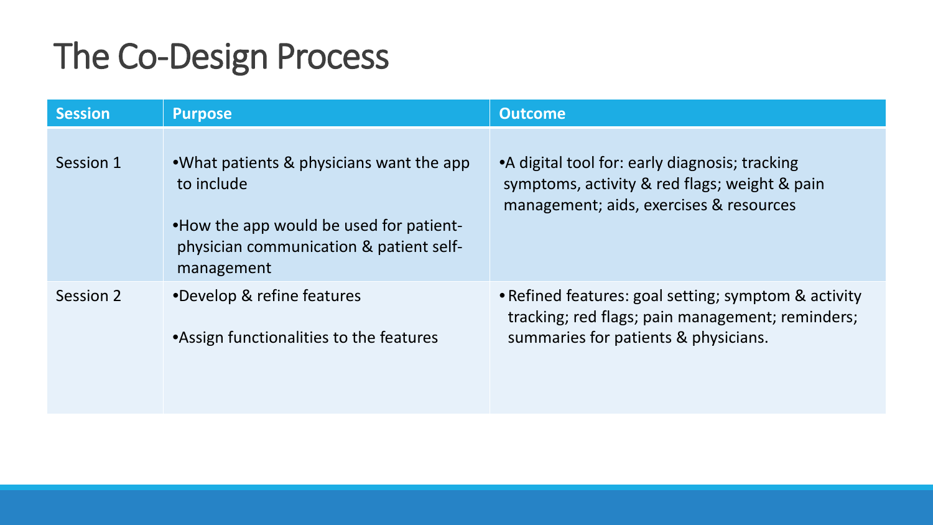# The Co-Design Process

| <b>Session</b> | <b>Purpose</b>                                                                                                                                             | <b>Outcome</b>                                                                                                                                   |
|----------------|------------------------------------------------------------------------------------------------------------------------------------------------------------|--------------------------------------------------------------------------------------------------------------------------------------------------|
| Session 1      | •What patients & physicians want the app<br>to include<br>•How the app would be used for patient-<br>physician communication & patient self-<br>management | • A digital tool for: early diagnosis; tracking<br>symptoms, activity & red flags; weight & pain<br>management; aids, exercises & resources      |
| Session 2      | •Develop & refine features<br>•Assign functionalities to the features                                                                                      | • Refined features: goal setting; symptom & activity<br>tracking; red flags; pain management; reminders;<br>summaries for patients & physicians. |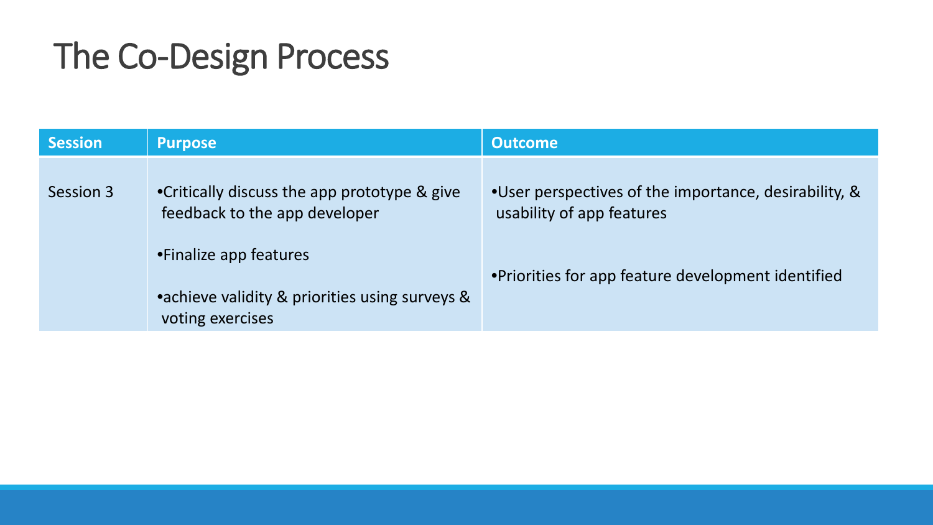## The Co-Design Process

| <b>Session</b> | <b>Purpose</b>                                                                                                                                                                | <b>Outcome</b>                                                                                                                           |
|----------------|-------------------------------------------------------------------------------------------------------------------------------------------------------------------------------|------------------------------------------------------------------------------------------------------------------------------------------|
| Session 3      | •Critically discuss the app prototype & give<br>feedback to the app developer<br>•Finalize app features<br>•achieve validity & priorities using surveys &<br>voting exercises | •User perspectives of the importance, desirability, &<br>usability of app features<br>•Priorities for app feature development identified |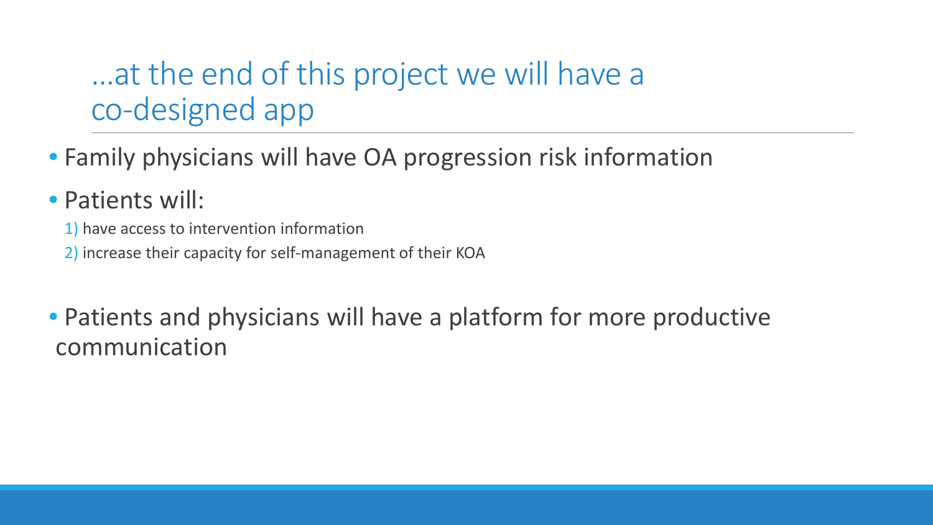### …at the end of this project we will have a co-designed app

- Family physicians will have OA progression risk information
- Patients will:
	- 1) have access to intervention information
	- 2) increase their capacity for self-management of their KOA

• Patients and physicians will have a platform for more productive communication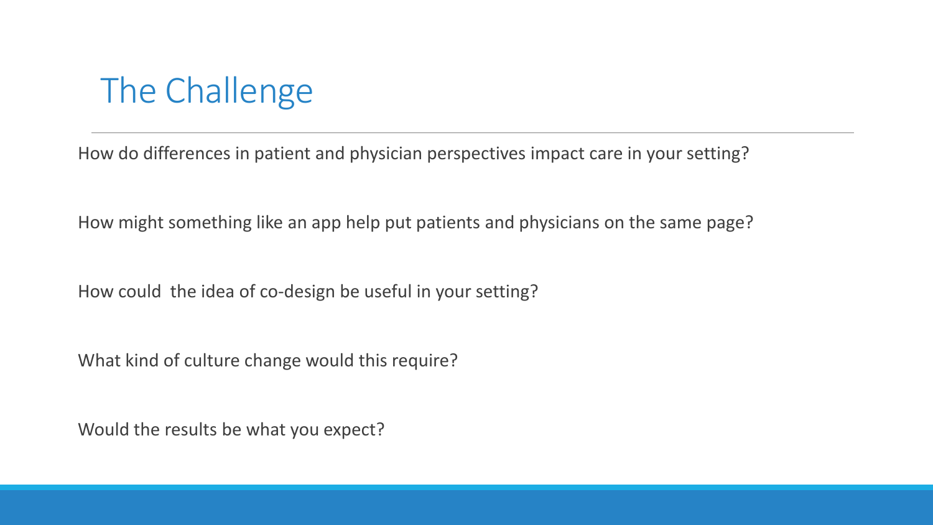## The Challenge

How do differences in patient and physician perspectives impact care in your setting?

How might something like an app help put patients and physicians on the same page?

How could the idea of co-design be useful in your setting?

What kind of culture change would this require?

Would the results be what you expect?